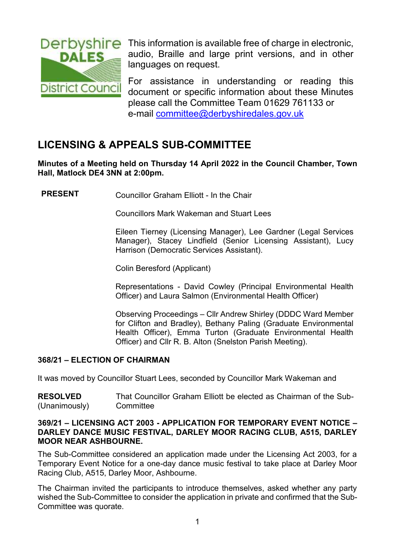

Derbyshire This information is available free of charge in electronic, audio, Braille and large print versions, and in other languages on request.

> For assistance in understanding or reading this document or specific information about these Minutes please call the Committee Team 01629 761133 or e-mail [committee@derbyshiredales.gov.uk](mailto:committee@derbyshiredales.gov.uk)

# **LICENSING & APPEALS SUB-COMMITTEE**

**Minutes of a Meeting held on Thursday 14 April 2022 in the Council Chamber, Town Hall, Matlock DE4 3NN at 2:00pm.**

**PRESENT** Councillor Graham Elliott - In the Chair

Councillors Mark Wakeman and Stuart Lees

Eileen Tierney (Licensing Manager), Lee Gardner (Legal Services Manager), Stacey Lindfield (Senior Licensing Assistant), Lucy Harrison (Democratic Services Assistant).

Colin Beresford (Applicant)

Representations - David Cowley (Principal Environmental Health Officer) and Laura Salmon (Environmental Health Officer)

Observing Proceedings – Cllr Andrew Shirley (DDDC Ward Member for Clifton and Bradley), Bethany Paling (Graduate Environmental Health Officer), Emma Turton (Graduate Environmental Health Officer) and Cllr R. B. Alton (Snelston Parish Meeting).

# **368/21 – ELECTION OF CHAIRMAN**

It was moved by Councillor Stuart Lees, seconded by Councillor Mark Wakeman and

**RESOLVED** (Unanimously) That Councillor Graham Elliott be elected as Chairman of the Sub-**Committee** 

# **369/21 – LICENSING ACT 2003 - APPLICATION FOR TEMPORARY EVENT NOTICE – DARLEY DANCE MUSIC FESTIVAL, DARLEY MOOR RACING CLUB, A515, DARLEY MOOR NEAR ASHBOURNE.**

The Sub-Committee considered an application made under the Licensing Act 2003, for a Temporary Event Notice for a one-day dance music festival to take place at Darley Moor Racing Club, A515, Darley Moor, Ashbourne.

The Chairman invited the participants to introduce themselves, asked whether any party wished the Sub-Committee to consider the application in private and confirmed that the Sub-Committee was quorate.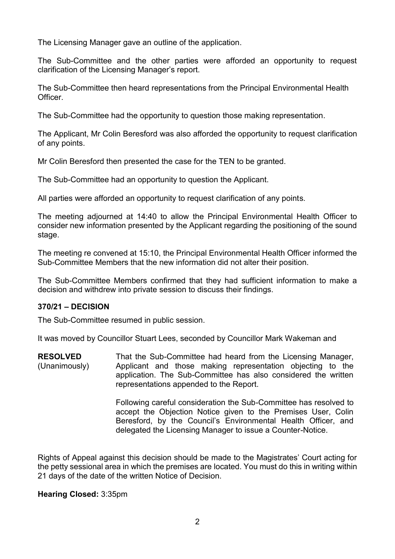The Licensing Manager gave an outline of the application.

The Sub-Committee and the other parties were afforded an opportunity to request clarification of the Licensing Manager's report.

The Sub-Committee then heard representations from the Principal Environmental Health **Officer** 

The Sub-Committee had the opportunity to question those making representation.

The Applicant, Mr Colin Beresford was also afforded the opportunity to request clarification of any points.

Mr Colin Beresford then presented the case for the TEN to be granted.

The Sub-Committee had an opportunity to question the Applicant.

All parties were afforded an opportunity to request clarification of any points.

The meeting adjourned at 14:40 to allow the Principal Environmental Health Officer to consider new information presented by the Applicant regarding the positioning of the sound stage.

The meeting re convened at 15:10, the Principal Environmental Health Officer informed the Sub-Committee Members that the new information did not alter their position.

The Sub-Committee Members confirmed that they had sufficient information to make a decision and withdrew into private session to discuss their findings.

# **370/21 – DECISION**

The Sub-Committee resumed in public session.

It was moved by Councillor Stuart Lees, seconded by Councillor Mark Wakeman and

**RESOLVED** (Unanimously) That the Sub-Committee had heard from the Licensing Manager, Applicant and those making representation objecting to the application. The Sub-Committee has also considered the written representations appended to the Report.

> Following careful consideration the Sub-Committee has resolved to accept the Objection Notice given to the Premises User, Colin Beresford, by the Council's Environmental Health Officer, and delegated the Licensing Manager to issue a Counter-Notice.

Rights of Appeal against this decision should be made to the Magistrates' Court acting for the petty sessional area in which the premises are located. You must do this in writing within 21 days of the date of the written Notice of Decision.

# **Hearing Closed:** 3:35pm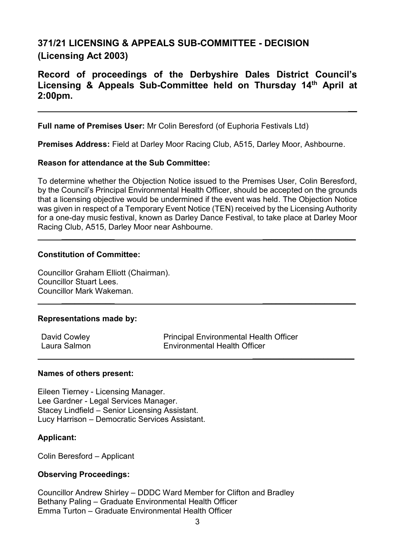# **371/21 LICENSING & APPEALS SUB-COMMITTEE - DECISION (Licensing Act 2003)**

# **Record of proceedings of the Derbyshire Dales District Council's Licensing & Appeals Sub-Committee held on Thursday 14th April at 2:00pm.**

**\_\_**

**Full name of Premises User:** Mr Colin Beresford (of Euphoria Festivals Ltd)

**Premises Address:** Field at Darley Moor Racing Club, A515, Darley Moor, Ashbourne.

# **Reason for attendance at the Sub Committee:**

To determine whether the Objection Notice issued to the Premises User, Colin Beresford, by the Council's Principal Environmental Health Officer, should be accepted on the grounds that a licensing objective would be undermined if the event was held. The Objection Notice was given in respect of a Temporary Event Notice (TEN) received by the Licensing Authority for a one-day music festival, known as Darley Dance Festival, to take place at Darley Moor Racing Club, A515, Darley Moor near Ashbourne.

**\_\_\_\_\_\_\_\_\_\_\_\_ \_\_\_\_\_\_\_\_\_\_\_\_\_\_\_\_\_\_\_\_\_**

**\_\_\_\_\_\_\_\_\_\_\_\_ \_\_\_\_\_\_\_\_\_\_\_\_\_\_\_\_\_\_\_\_\_**

# **Constitution of Committee:**

Councillor Graham Elliott (Chairman). Councillor Stuart Lees. Councillor Mark Wakeman.

# **Representations made by:**

| David Cowley | <b>Principal Environmental Health Officer</b> |
|--------------|-----------------------------------------------|
| Laura Salmon | <b>Environmental Health Officer</b>           |
|              |                                               |

# **Names of others present:**

Eileen Tierney - Licensing Manager. Lee Gardner - Legal Services Manager. Stacey Lindfield – Senior Licensing Assistant. Lucy Harrison – Democratic Services Assistant.

# **Applicant:**

Colin Beresford – Applicant

# **Observing Proceedings:**

Councillor Andrew Shirley – DDDC Ward Member for Clifton and Bradley Bethany Paling – Graduate Environmental Health Officer Emma Turton – Graduate Environmental Health Officer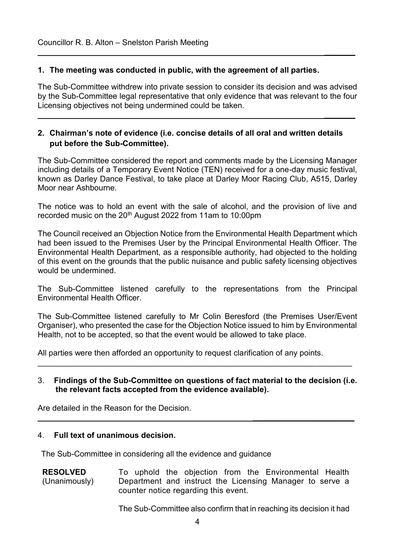# **1. The meeting was conducted in public, with the agreement of all parties.**

The Sub-Committee withdrew into private session to consider its decision and was advised by the Sub-Committee legal representative that only evidence that was relevant to the four Licensing objectives not being undermined could be taken.

**\_\_\_\_\_\_\_**

**\_\_\_\_\_\_\_**

# **2. Chairman's note of evidence (i.e. concise details of all oral and written details put before the Sub-Committee).**

The Sub-Committee considered the report and comments made by the Licensing Manager including details of a Temporary Event Notice (TEN) received for a one-day music festival, known as Darley Dance Festival, to take place at Darley Moor Racing Club, A515, Darley Moor near Ashbourne.

The notice was to hold an event with the sale of alcohol, and the provision of live and recorded music on the 20<sup>th</sup> August 2022 from 11am to 10:00pm

The Council received an Objection Notice from the Environmental Health Department which had been issued to the Premises User by the Principal Environmental Health Officer. The Environmental Health Department, as a responsible authority, had objected to the holding of this event on the grounds that the public nuisance and public safety licensing objectives would be undermined.

The Sub-Committee listened carefully to the representations from the Principal Environmental Health Officer.

The Sub-Committee listened carefully to Mr Colin Beresford (the Premises User/Event Organiser), who presented the case for the Objection Notice issued to him by Environmental Health, not to be accepted, so that the event would be allowed to take place.

All parties were then afforded an opportunity to request clarification of any points.

#### 3. **Findings of the Sub-Committee on questions of fact material to the decision (i.e. the relevant facts accepted from the evidence available).**

\_\_\_\_\_\_\_\_\_\_\_\_\_\_\_\_\_\_\_\_\_\_\_\_\_\_\_\_\_\_\_\_\_\_\_\_\_\_\_\_\_\_\_\_\_\_\_\_\_\_\_\_\_\_\_\_\_\_\_\_\_\_\_\_\_\_\_\_\_\_\_

Are detailed in the Reason for the Decision.

# 4. **Full text of unanimous decision.**

The Sub-Committee in considering all the evidence and guidance

**RESOLVED** (Unanimously) To uphold the objection from the Environmental Health Department and instruct the Licensing Manager to serve a counter notice regarding this event.

The Sub-Committee also confirm that in reaching its decision it had

**\_\_\_\_\_\_\_\_\_\_\_\_\_\_\_\_\_\_\_\_\_\_\_**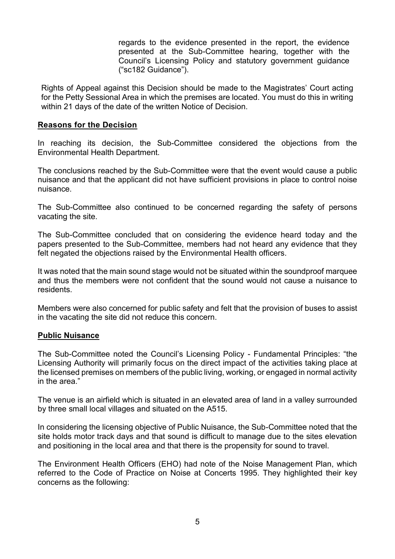regards to the evidence presented in the report, the evidence presented at the Sub-Committee hearing, together with the Council's Licensing Policy and statutory government guidance ("sc182 Guidance").

Rights of Appeal against this Decision should be made to the Magistrates' Court acting for the Petty Sessional Area in which the premises are located. You must do this in writing within 21 days of the date of the written Notice of Decision.

# **Reasons for the Decision**

In reaching its decision, the Sub-Committee considered the objections from the Environmental Health Department.

The conclusions reached by the Sub-Committee were that the event would cause a public nuisance and that the applicant did not have sufficient provisions in place to control noise nuisance.

The Sub-Committee also continued to be concerned regarding the safety of persons vacating the site.

The Sub-Committee concluded that on considering the evidence heard today and the papers presented to the Sub-Committee, members had not heard any evidence that they felt negated the objections raised by the Environmental Health officers.

It was noted that the main sound stage would not be situated within the soundproof marquee and thus the members were not confident that the sound would not cause a nuisance to residents.

Members were also concerned for public safety and felt that the provision of buses to assist in the vacating the site did not reduce this concern.

# **Public Nuisance**

The Sub-Committee noted the Council's Licensing Policy - Fundamental Principles: "the Licensing Authority will primarily focus on the direct impact of the activities taking place at the licensed premises on members of the public living, working, or engaged in normal activity in the area."

The venue is an airfield which is situated in an elevated area of land in a valley surrounded by three small local villages and situated on the A515.

In considering the licensing objective of Public Nuisance, the Sub-Committee noted that the site holds motor track days and that sound is difficult to manage due to the sites elevation and positioning in the local area and that there is the propensity for sound to travel.

The Environment Health Officers (EHO) had note of the Noise Management Plan, which referred to the Code of Practice on Noise at Concerts 1995. They highlighted their key concerns as the following: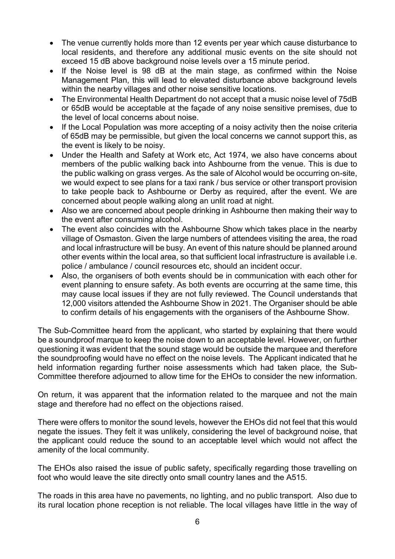- The venue currently holds more than 12 events per year which cause disturbance to local residents, and therefore any additional music events on the site should not exceed 15 dB above background noise levels over a 15 minute period.
- If the Noise level is 98 dB at the main stage, as confirmed within the Noise Management Plan, this will lead to elevated disturbance above background levels within the nearby villages and other noise sensitive locations.
- The Environmental Health Department do not accept that a music noise level of 75dB or 65dB would be acceptable at the façade of any noise sensitive premises, due to the level of local concerns about noise.
- If the Local Population was more accepting of a noisy activity then the noise criteria of 65dB may be permissible, but given the local concerns we cannot support this, as the event is likely to be noisy.
- Under the Health and Safety at Work etc, Act 1974, we also have concerns about members of the public walking back into Ashbourne from the venue. This is due to the public walking on grass verges. As the sale of Alcohol would be occurring on-site, we would expect to see plans for a taxi rank / bus service or other transport provision to take people back to Ashbourne or Derby as required, after the event. We are concerned about people walking along an unlit road at night.
- Also we are concerned about people drinking in Ashbourne then making their way to the event after consuming alcohol.
- The event also coincides with the Ashbourne Show which takes place in the nearby village of Osmaston. Given the large numbers of attendees visiting the area, the road and local infrastructure will be busy. An event of this nature should be planned around other events within the local area, so that sufficient local infrastructure is available i.e. police / ambulance / council resources etc, should an incident occur.
- Also, the organisers of both events should be in communication with each other for event planning to ensure safety. As both events are occurring at the same time, this may cause local issues if they are not fully reviewed. The Council understands that 12,000 visitors attended the Ashbourne Show in 2021. The Organiser should be able to confirm details of his engagements with the organisers of the Ashbourne Show.

The Sub-Committee heard from the applicant, who started by explaining that there would be a soundproof marque to keep the noise down to an acceptable level. However, on further questioning it was evident that the sound stage would be outside the marquee and therefore the soundproofing would have no effect on the noise levels. The Applicant indicated that he held information regarding further noise assessments which had taken place, the Sub-Committee therefore adjourned to allow time for the EHOs to consider the new information.

On return, it was apparent that the information related to the marquee and not the main stage and therefore had no effect on the objections raised.

There were offers to monitor the sound levels, however the EHOs did not feel that this would negate the issues. They felt it was unlikely, considering the level of background noise, that the applicant could reduce the sound to an acceptable level which would not affect the amenity of the local community.

The EHOs also raised the issue of public safety, specifically regarding those travelling on foot who would leave the site directly onto small country lanes and the A515.

The roads in this area have no pavements, no lighting, and no public transport. Also due to its rural location phone reception is not reliable. The local villages have little in the way of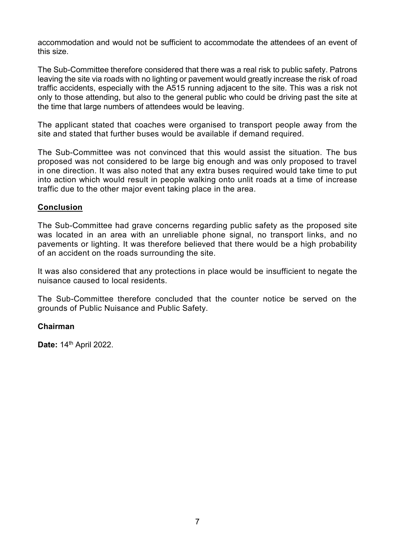accommodation and would not be sufficient to accommodate the attendees of an event of this size.

The Sub-Committee therefore considered that there was a real risk to public safety. Patrons leaving the site via roads with no lighting or pavement would greatly increase the risk of road traffic accidents, especially with the A515 running adjacent to the site. This was a risk not only to those attending, but also to the general public who could be driving past the site at the time that large numbers of attendees would be leaving.

The applicant stated that coaches were organised to transport people away from the site and stated that further buses would be available if demand required.

The Sub-Committee was not convinced that this would assist the situation. The bus proposed was not considered to be large big enough and was only proposed to travel in one direction. It was also noted that any extra buses required would take time to put into action which would result in people walking onto unlit roads at a time of increase traffic due to the other major event taking place in the area.

# **Conclusion**

The Sub-Committee had grave concerns regarding public safety as the proposed site was located in an area with an unreliable phone signal, no transport links, and no pavements or lighting. It was therefore believed that there would be a high probability of an accident on the roads surrounding the site.

It was also considered that any protections in place would be insufficient to negate the nuisance caused to local residents.

The Sub-Committee therefore concluded that the counter notice be served on the grounds of Public Nuisance and Public Safety.

# **Chairman**

**Date:** 14th April 2022.